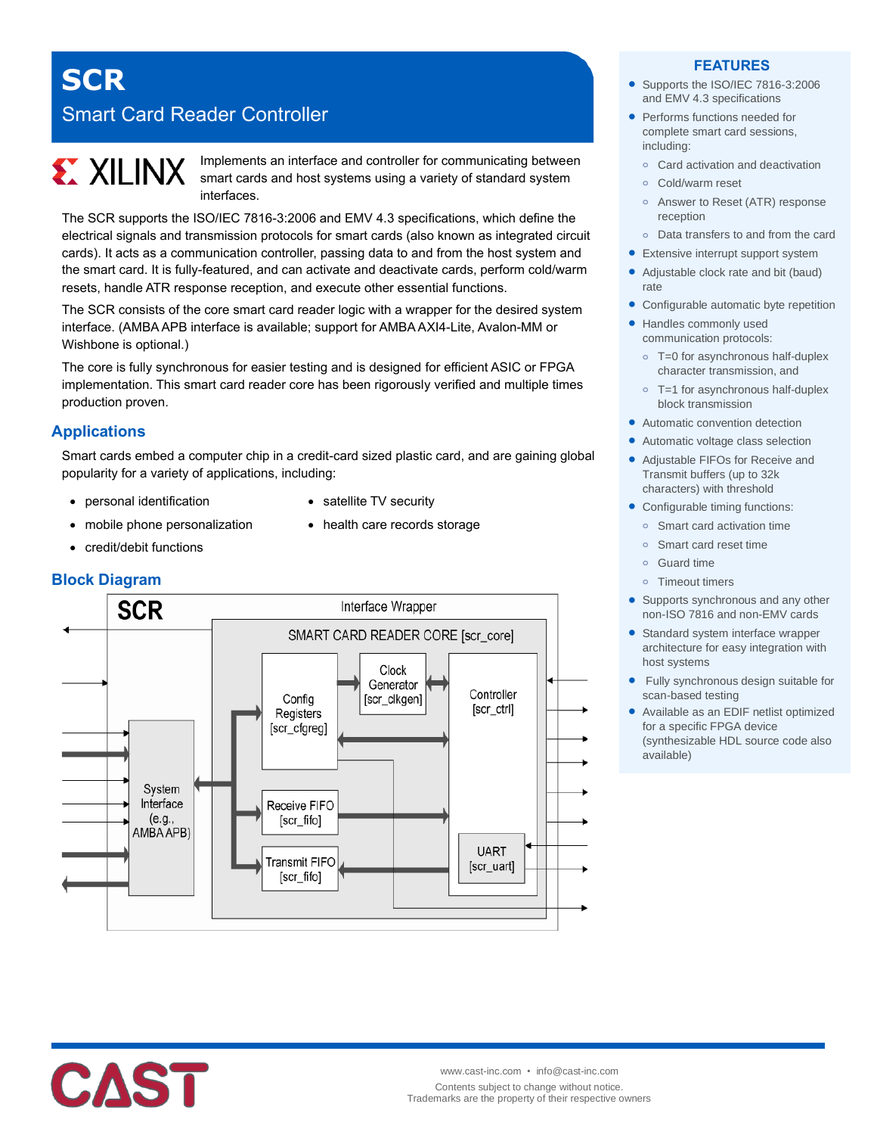# **SCR** Smart Card Reader Controller

# **EXILINX**

Implements an interface and controller for communicating between smart cards and host systems using a variety of standard system interfaces.

The SCR supports the ISO/IEC 7816-3:2006 and EMV 4.3 specifications, which define the electrical signals and transmission protocols for smart cards (also known as integrated circuit cards). It acts as a communication controller, passing data to and from the host system and the smart card. It is fully-featured, and can activate and deactivate cards, perform cold/warm resets, handle ATR response reception, and execute other essential functions.

The SCR consists of the core smart card reader logic with a wrapper for the desired system interface. (AMBA APB interface is available; support for AMBA AXI4-Lite, Avalon-MM or Wishbone is optional.)

The core is fully synchronous for easier testing and is designed for efficient ASIC or FPGA implementation. This smart card reader core has been rigorously verified and multiple times production proven.

# **Applications**

Smart cards embed a computer chip in a credit-card sized plastic card, and are gaining global popularity for a variety of applications, including:

• satellite TV security

• health care records storage

- personal identification
- mobile phone personalization
- credit/debit functions



# **FEATURES**

- Supports the ISO/IEC 7816-3:2006 and EMV 4.3 specifications
- Performs functions needed for complete smart card sessions, including:
	- **o** Card activation and deactivation
	- **o** Cold/warm reset
	- **o** Answer to Reset (ATR) response reception
- **o** Data transfers to and from the card
- **•** Extensive interrupt support system
- Adjustable clock rate and bit (baud) rate
- Configurable automatic byte repetition
- Handles commonly used communication protocols:
	- **o** T=0 for asynchronous half-duplex character transmission, and
	- **o** T=1 for asynchronous half-duplex block transmission
- Automatic convention detection
- Automatic voltage class selection
- Adjustable FIFOs for Receive and Transmit buffers (up to 32k characters) with threshold
- Configurable timing functions:
	- **o** Smart card activation time
	- **o** Smart card reset time
	- **o** Guard time
	- **o** Timeout timers
- Supports synchronous and any other non-ISO 7816 and non-EMV cards
- Standard system interface wrapper architecture for easy integration with host systems
- Fully synchronous design suitable for scan-based testing
- Available as an EDIF netlist optimized for a specific FPGA device (synthesizable HDL source code also available)